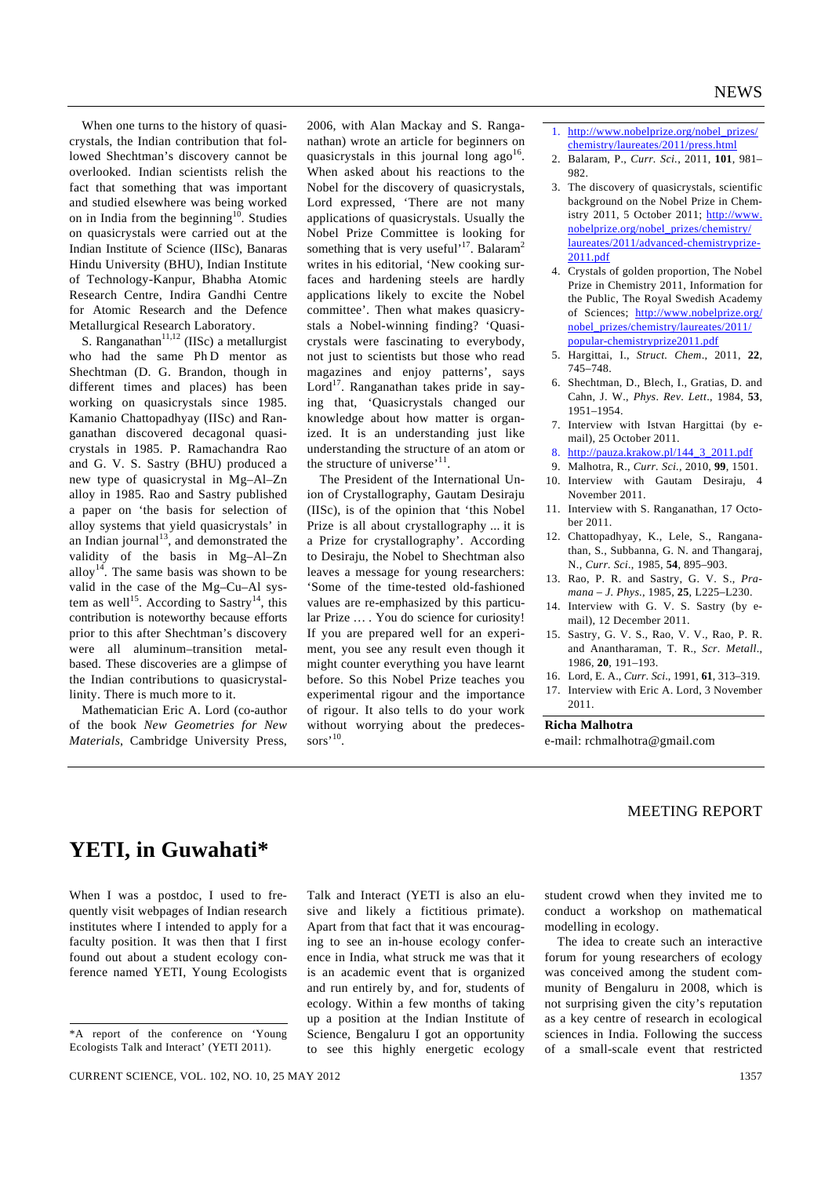When one turns to the history of quasicrystals, the Indian contribution that followed Shechtman's discovery cannot be overlooked. Indian scientists relish the fact that something that was important and studied elsewhere was being worked on in India from the beginning<sup>10</sup>. Studies on quasicrystals were carried out at the Indian Institute of Science (IISc), Banaras Hindu University (BHU), Indian Institute of Technology-Kanpur, Bhabha Atomic Research Centre, Indira Gandhi Centre for Atomic Research and the Defence Metallurgical Research Laboratory.

S. Ranganathan<sup>11,12</sup> (IISc) a metallurgist who had the same Ph D mentor as Shechtman (D. G. Brandon, though in different times and places) has been working on quasicrystals since 1985. Kamanio Chattopadhyay (IISc) and Ranganathan discovered decagonal quasicrystals in 1985. P. Ramachandra Rao and G. V. S. Sastry (BHU) produced a new type of quasicrystal in Mg–Al–Zn alloy in 1985. Rao and Sastry published a paper on 'the basis for selection of alloy systems that yield quasicrystals' in an Indian journal<sup>13</sup>, and demonstrated the validity of the basis in Mg–Al–Zn alloy<sup>14</sup>. The same basis was shown to be valid in the case of the Mg–Cu–Al system as well<sup>15</sup>. According to Sastry<sup>14</sup>, this contribution is noteworthy because efforts prior to this after Shechtman's discovery were all aluminum–transition metalbased. These discoveries are a glimpse of the Indian contributions to quasicrystallinity. There is much more to it.

 Mathematician Eric A. Lord (co-author of the book *New Geometries for New Materials*, Cambridge University Press,

2006, with Alan Mackay and S. Ranganathan) wrote an article for beginners on quasicrystals in this journal long  $ago^{16}$ . When asked about his reactions to the Nobel for the discovery of quasicrystals, Lord expressed, 'There are not many applications of quasicrystals. Usually the Nobel Prize Committee is looking for something that is very useful'<sup>17</sup>. Balaram<sup>2</sup> writes in his editorial, 'New cooking surfaces and hardening steels are hardly applications likely to excite the Nobel committee'. Then what makes quasicrystals a Nobel-winning finding? 'Quasicrystals were fascinating to everybody, not just to scientists but those who read magazines and enjoy patterns', says Lord<sup>17</sup>. Ranganathan takes pride in saying that, 'Quasicrystals changed our knowledge about how matter is organized. It is an understanding just like understanding the structure of an atom or the structure of universe'<sup>11</sup>

 The President of the International Union of Crystallography, Gautam Desiraju (IISc), is of the opinion that 'this Nobel Prize is all about crystallography ... it is a Prize for crystallography'. According to Desiraju, the Nobel to Shechtman also leaves a message for young researchers: 'Some of the time-tested old-fashioned values are re-emphasized by this particular Prize … . You do science for curiosity! If you are prepared well for an experiment, you see any result even though it might counter everything you have learnt before. So this Nobel Prize teaches you experimental rigour and the importance of rigour. It also tells to do your work without worrying about the predecessors<sup>'10</sup>.

- 1. http://www.nobelprize.org/nobel\_prizes/ chemistry/laureates/2011/press.html
- 2. Balaram, P., *Curr. Sci.*, 2011, **101**, 981– 982.
- 3. The discovery of quasicrystals, scientific background on the Nobel Prize in Chemistry 2011, 5 October 2011; http://www. nobelprize.org/nobel\_prizes/chemistry/ laureates/2011/advanced-chemistryprize-2011.pdf
- 4. Crystals of golden proportion, The Nobel Prize in Chemistry 2011, Information for the Public, The Royal Swedish Academy of Sciences; http://www.nobelprize.org/ nobel\_prizes/chemistry/laureates/2011/ popular-chemistryprize2011.pdf
- 5. Hargittai, I., *Struct. Chem*., 2011, **22**, 745–748.
- 6. Shechtman, D., Blech, I., Gratias, D. and Cahn, J. W., *Phys*. *Rev*. *Lett*., 1984, **53**, 1951–1954.
- 7. Interview with Istvan Hargittai (by email), 25 October 2011.
- 8. http://pauza.krakow.pl/144\_3\_2011.pdf
- 9. Malhotra, R., *Curr. Sci.*, 2010, **99**, 1501.
- 10. Interview with Gautam Desiraju, 4 November 2011.
- 11. Interview with S. Ranganathan, 17 October 2011.
- 12. Chattopadhyay, K., Lele, S., Ranganathan, S., Subbanna, G. N. and Thangaraj, N., *Curr. Sci.*, 1985, **54**, 895–903.
- 13. Rao, P. R. and Sastry, G. V. S., *Pramana – J. Phys*., 1985, **25**, L225–L230.
- 14. Interview with G. V. S. Sastry (by email), 12 December 2011.
- 15. Sastry, G. V. S., Rao, V. V., Rao, P. R. and Anantharaman, T. R., *Scr. Metall*., 1986, **20**, 191–193.
- 16. Lord, E. A., *Curr*. *Sci*., 1991, **61**, 313–319.
- 17. Interview with Eric A. Lord, 3 November 2011.

#### **Richa Malhotra**

e-mail: rchmalhotra@gmail.com

## MEETING REPORT

# **YETI, in Guwahati\***

When I was a postdoc, I used to frequently visit webpages of Indian research institutes where I intended to apply for a faculty position. It was then that I first found out about a student ecology conference named YETI, Young Ecologists

CURRENT SCIENCE, VOL. 102, NO. 10, 25 MAY 2012 1357

Talk and Interact (YETI is also an elusive and likely a fictitious primate). Apart from that fact that it was encouraging to see an in-house ecology conference in India, what struck me was that it is an academic event that is organized and run entirely by, and for, students of ecology. Within a few months of taking up a position at the Indian Institute of Science, Bengaluru I got an opportunity to see this highly energetic ecology student crowd when they invited me to conduct a workshop on mathematical modelling in ecology.

 The idea to create such an interactive forum for young researchers of ecology was conceived among the student community of Bengaluru in 2008, which is not surprising given the city's reputation as a key centre of research in ecological sciences in India. Following the success of a small-scale event that restricted

<sup>\*</sup>A report of the conference on 'Young Ecologists Talk and Interact' (YETI 2011).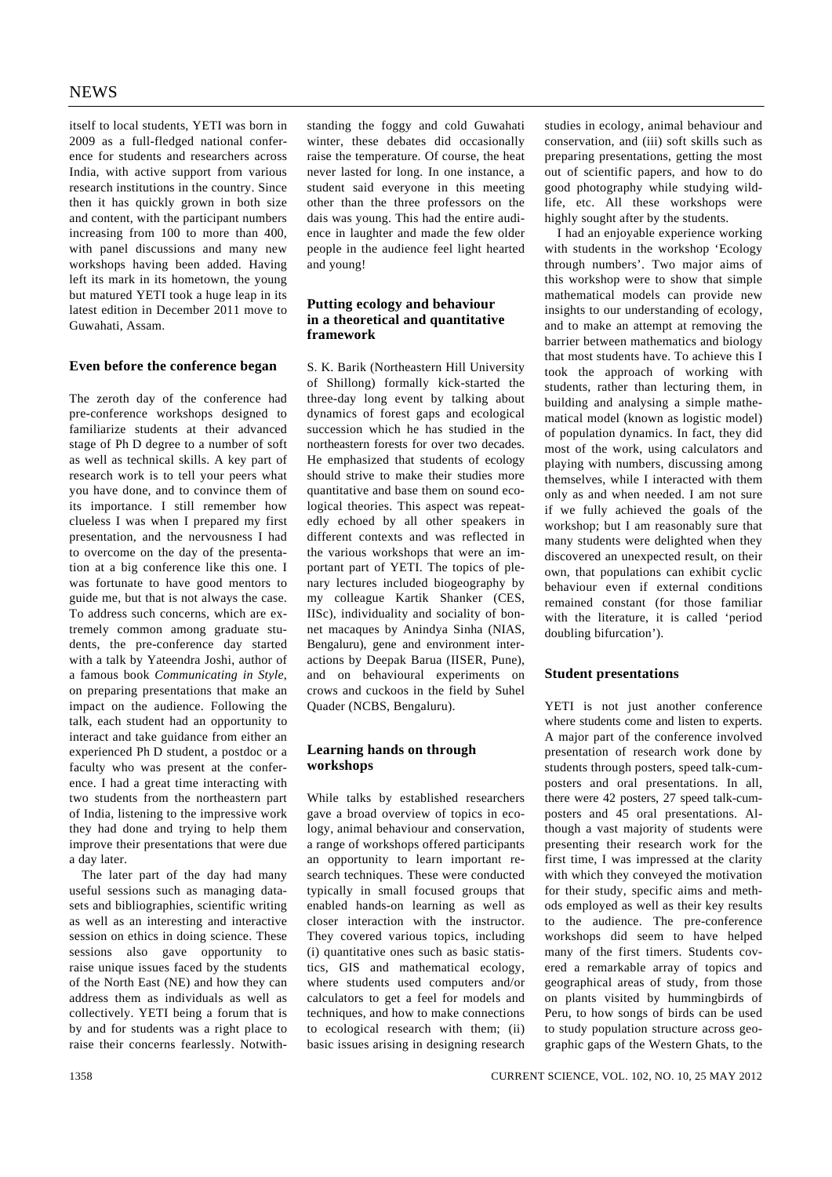itself to local students, YETI was born in 2009 as a full-fledged national conference for students and researchers across India, with active support from various research institutions in the country. Since then it has quickly grown in both size and content, with the participant numbers increasing from 100 to more than 400, with panel discussions and many new workshops having been added. Having left its mark in its hometown, the young but matured YETI took a huge leap in its latest edition in December 2011 move to Guwahati, Assam.

# **Even before the conference began**

The zeroth day of the conference had pre-conference workshops designed to familiarize students at their advanced stage of Ph D degree to a number of soft as well as technical skills. A key part of research work is to tell your peers what you have done, and to convince them of its importance. I still remember how clueless I was when I prepared my first presentation, and the nervousness I had to overcome on the day of the presentation at a big conference like this one. I was fortunate to have good mentors to guide me, but that is not always the case. To address such concerns, which are extremely common among graduate students, the pre-conference day started with a talk by Yateendra Joshi, author of a famous book *Communicating in Style*, on preparing presentations that make an impact on the audience. Following the talk, each student had an opportunity to interact and take guidance from either an experienced Ph D student, a postdoc or a faculty who was present at the conference. I had a great time interacting with two students from the northeastern part of India, listening to the impressive work they had done and trying to help them improve their presentations that were due a day later.

 The later part of the day had many useful sessions such as managing datasets and bibliographies, scientific writing as well as an interesting and interactive session on ethics in doing science. These sessions also gave opportunity to raise unique issues faced by the students of the North East (NE) and how they can address them as individuals as well as collectively. YETI being a forum that is by and for students was a right place to raise their concerns fearlessly. Notwithstanding the foggy and cold Guwahati winter, these debates did occasionally raise the temperature. Of course, the heat never lasted for long. In one instance, a student said everyone in this meeting other than the three professors on the dais was young. This had the entire audience in laughter and made the few older people in the audience feel light hearted and young!

#### **Putting ecology and behaviour in a theoretical and quantitative framework**

S. K. Barik (Northeastern Hill University of Shillong) formally kick-started the three-day long event by talking about dynamics of forest gaps and ecological succession which he has studied in the northeastern forests for over two decades. He emphasized that students of ecology should strive to make their studies more quantitative and base them on sound ecological theories. This aspect was repeatedly echoed by all other speakers in different contexts and was reflected in the various workshops that were an important part of YETI. The topics of plenary lectures included biogeography by my colleague Kartik Shanker (CES, IISc), individuality and sociality of bonnet macaques by Anindya Sinha (NIAS, Bengaluru), gene and environment interactions by Deepak Barua (IISER, Pune), and on behavioural experiments on crows and cuckoos in the field by Suhel Quader (NCBS, Bengaluru).

#### **Learning hands on through workshops**

While talks by established researchers gave a broad overview of topics in ecology, animal behaviour and conservation, a range of workshops offered participants an opportunity to learn important research techniques. These were conducted typically in small focused groups that enabled hands-on learning as well as closer interaction with the instructor. They covered various topics, including (i) quantitative ones such as basic statistics, GIS and mathematical ecology, where students used computers and/or calculators to get a feel for models and techniques, and how to make connections to ecological research with them; (ii) basic issues arising in designing research

studies in ecology, animal behaviour and conservation, and (iii) soft skills such as preparing presentations, getting the most out of scientific papers, and how to do good photography while studying wildlife, etc. All these workshops were highly sought after by the students.

 I had an enjoyable experience working with students in the workshop 'Ecology through numbers'. Two major aims of this workshop were to show that simple mathematical models can provide new insights to our understanding of ecology, and to make an attempt at removing the barrier between mathematics and biology that most students have. To achieve this I took the approach of working with students, rather than lecturing them, in building and analysing a simple mathematical model (known as logistic model) of population dynamics. In fact, they did most of the work, using calculators and playing with numbers, discussing among themselves, while I interacted with them only as and when needed. I am not sure if we fully achieved the goals of the workshop; but I am reasonably sure that many students were delighted when they discovered an unexpected result, on their own, that populations can exhibit cyclic behaviour even if external conditions remained constant (for those familiar with the literature, it is called 'period doubling bifurcation').

#### **Student presentations**

YETI is not just another conference where students come and listen to experts. A major part of the conference involved presentation of research work done by students through posters, speed talk-cumposters and oral presentations. In all, there were 42 posters, 27 speed talk-cumposters and 45 oral presentations. Although a vast majority of students were presenting their research work for the first time, I was impressed at the clarity with which they conveyed the motivation for their study, specific aims and methods employed as well as their key results to the audience. The pre-conference workshops did seem to have helped many of the first timers. Students covered a remarkable array of topics and geographical areas of study, from those on plants visited by hummingbirds of Peru, to how songs of birds can be used to study population structure across geographic gaps of the Western Ghats, to the